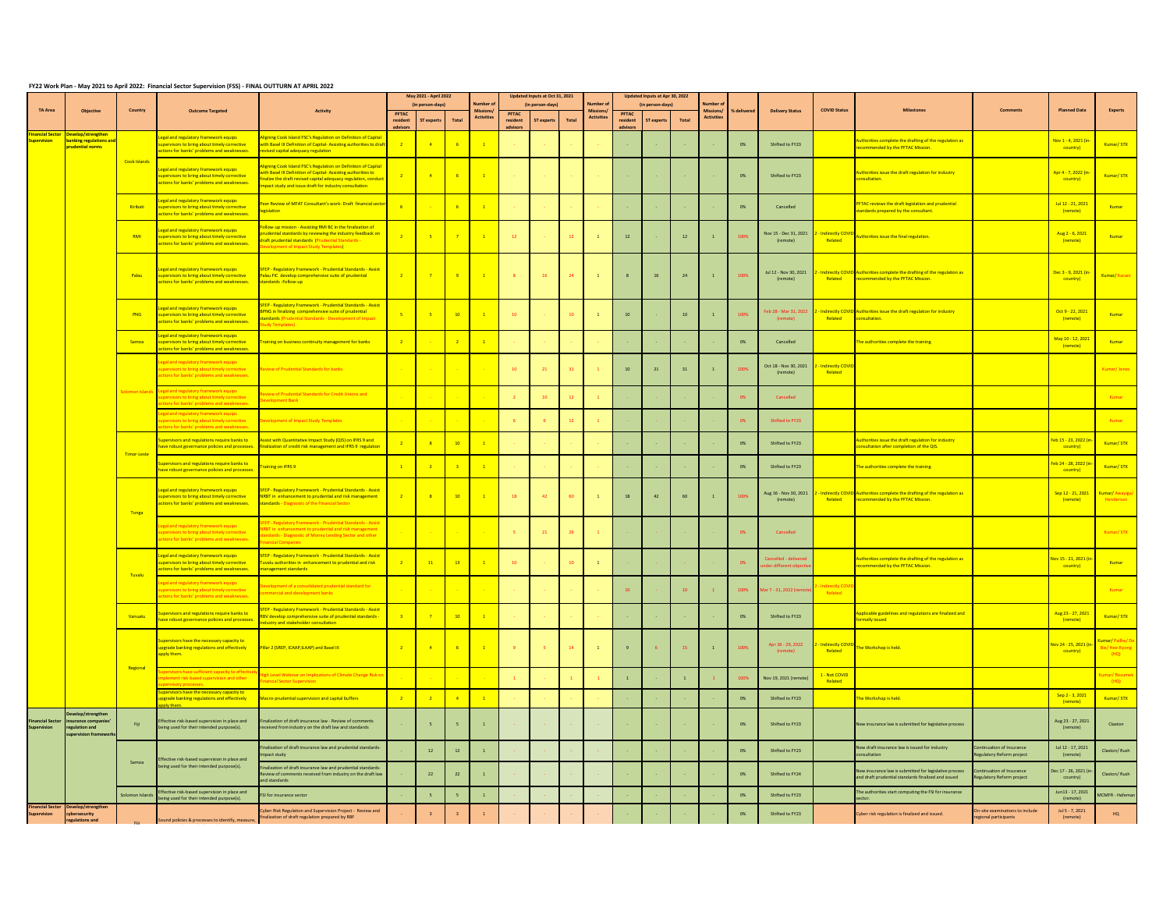## **FY22 Work Plan - May 2021 to April 2022: Financial Sector Supervision (FSS) - FINAL OUTTURN AT APRIL 2022**

|                                           |                                                                    |                     |                                                                                                                                 |                                                                                                                                                                                                                                                  |                | May 2021 - April 2022   |                 |                   |                  | Updated Inputs at Oct 31, 2021 |                  |                  |                | Updated Inputs at Apr 30, 2022 |              |                  |                  |                                   |                             |                                                                                                              |                                                         |                                                |                                    |
|-------------------------------------------|--------------------------------------------------------------------|---------------------|---------------------------------------------------------------------------------------------------------------------------------|--------------------------------------------------------------------------------------------------------------------------------------------------------------------------------------------------------------------------------------------------|----------------|-------------------------|-----------------|-------------------|------------------|--------------------------------|------------------|------------------|----------------|--------------------------------|--------------|------------------|------------------|-----------------------------------|-----------------------------|--------------------------------------------------------------------------------------------------------------|---------------------------------------------------------|------------------------------------------------|------------------------------------|
| TA Area                                   | Objective                                                          | Country             | <b>Outcome Targeted</b>                                                                                                         | <b>Activity</b>                                                                                                                                                                                                                                  | PFTAC          | (in person-days)        |                 | Missions          | PFTAC            | (in person-days)               |                  | dissions         | <b>PFTAC</b>   | (in person-days)               |              | Missions         | <b>K</b> deliver | <b>Delivery Status</b>            | <b>COVID Statu</b>          |                                                                                                              | <b>Comment</b>                                          | <b>Planned Date</b>                            | Experts                            |
|                                           |                                                                    |                     |                                                                                                                                 |                                                                                                                                                                                                                                                  | resident       | ST experts              | Total           | <b>Activitie:</b> | resident         | ST experts                     | Total            | <b>Activitie</b> | resident       | ST experts                     | Total        | <b>Activitie</b> |                  |                                   |                             |                                                                                                              |                                                         |                                                |                                    |
| <mark>ncial Sect</mark><br><b>rvision</b> | anking regulations a<br>dential norms                              |                     | real and regulatory framework equips<br>rvisors to bring about timely corrective<br>tions for banks' problems and weaknesses    | ming Cook Island FSC's Regulation on Definition of Capita<br>th Basel III Definition of Capital-Assisting authorities to dra<br>vised capital adequacy regulation                                                                                |                |                         | $-6$            |                   |                  |                                |                  |                  |                |                                |              |                  | $0\%$            | Shifted to FY23                   |                             | uthorities complete the drafting of the regulation as<br>ommended by the PFTAC Mission.                      |                                                         | Nov 1 - 4, 2021 (in<br>country)                | Kumar/STX                          |
|                                           |                                                                    | <b>Cook Islands</b> | egal and regulatory framework equips<br>ervisors to bring about timely corrective<br>ions for banks' problems and weaknesses    | ming Cook Island FSC's Regulation on Definition of Capital<br>th Basel III Definition of Capital-Assisting authorities to<br>alize the draft revised capital adequacy regulation, conduc<br>pact study and issue draft for industry consultation | $\overline{2}$ | $\overline{4}$          | $-6$            | $\overline{1}$    |                  |                                |                  |                  |                |                                |              |                  | 0%               | Shifted to FY23                   |                             | thorities issue the draft regulation for industry<br>nsultation.                                             |                                                         | Apr 4 - 7, 2022 (in<br>country)                | Kumar/STX                          |
|                                           |                                                                    | Kiribati            | egal and regulatory framework equips<br>ervisors to bring about timely corrective<br>tions for banks' problems and weaknesses   | eer Review of MFAT Consultant's work- Draft financial secte<br>slation                                                                                                                                                                           |                |                         | $-6$            |                   |                  |                                |                  |                  |                |                                |              |                  | 0%               | Cancelled                         |                             | FTAC reviews the draft legislation and prudential<br>andards prepared by the consultant.                     |                                                         | Jul 12 - 21, 2021<br>(remote)                  | Kumar                              |
|                                           |                                                                    | RMI                 | egal and regulatory framework equips<br>pervisors to bring about timely corrective<br>tions for banks' problems and weaknesses. | llow-up mission - Assisting RMI BC in the finalization of<br>udential standards by reviewing the industry feedback on<br>aft prudential standards (Prudential Standards<br>ent of Impact Study Templates)                                        |                |                         | $\overline{7}$  | $\overline{1}$    | 12               |                                | 12               |                  | $12\,$         |                                | $12\,$       | $\,$ 1 $\,$      |                  | Nov 15 - Dec 31, 2021<br>(remote) | Indirectly COVID<br>Related | horities issue the final regulation                                                                          |                                                         | Aug 2 - 6, 2021<br>(remote)                    | Kumar                              |
|                                           |                                                                    | Palau               | egal and regulatory framework equips<br>pervisors to bring about timely corrective<br>tions for banks' problems and weaknesses. | EP - Regulatory Framework - Prudential Standards - Assist<br>lau FIC develop comprehensive suite of prudential<br>standards - Follow-up                                                                                                          |                |                         | 9               | $\overline{1}$    | $\bf{8}$         | 16                             | 24               |                  |                | 16                             | $24$         | $\,$ 1           | 1005             | Jul 12 - Nov 30, 2021<br>(remote) | Related                     | Indirectly COVID Authorities complete the drafting of the regulation as<br>commended by the PFTAC Mission.   |                                                         | Dec 3 - 9, 2021 (in<br>country)                | Kumar/ Kacan                       |
|                                           |                                                                    | PNG                 | egal and regulatory framework equips<br>ervisors to bring about timely corrective<br>tions for banks' problems and weaknesses   | SFEP - Regulatory Framework - Prudential Standards - Assist<br>NG in finalizing comprehensive suite of prudential<br>ndards (Prudential Standards - Development of Impac                                                                         |                |                         | 10              |                   | 10 <sup>10</sup> |                                | 10               |                  | $10\,$         |                                | 10           | $\overline{1}$   |                  | b 28 - Mar 31, 202                | Indirectly COVID<br>Related | uthorities issue the draft regulation for industry<br>sultation.                                             |                                                         | Oct 9 - 22, 2021<br>(remote)                   | Kumar                              |
|                                           |                                                                    | Samoa               | gal and regulatory framework equips<br>rvisors to bring about timely corrective<br>ons for banks' problems and weaknesses       | ining on business continuity management for banks                                                                                                                                                                                                |                |                         | $\overline{2}$  |                   |                  |                                |                  |                  |                |                                |              |                  | 0%               | Cancelled                         |                             | ne authorities complete the training.                                                                        |                                                         | May 10 - 12, 2021<br>(remote)                  | Kumar                              |
|                                           |                                                                    |                     | regulatory framework equips<br>ervisors to bring about timely corrective<br>ions for banks' problems and weaknesses             | ew of Prudential Standards for banks                                                                                                                                                                                                             |                |                         |                 |                   | 10               | 21                             | 31               |                  | $10\,$         | 21                             | 31           | $\,$ 1 $\,$      |                  | Oct 18 - Nov 30, 2021<br>(remote) | Indirectly COV<br>Related   |                                                                                                              |                                                         |                                                |                                    |
|                                           |                                                                    |                     | al and regulatory framework equips<br>s to bring about timely corre                                                             | ew of Prudential Standards for Credit Unions and<br><b>Innment Rank</b>                                                                                                                                                                          |                |                         |                 |                   |                  | 10                             | 12               |                  |                |                                |              |                  | 0%               | Cancelled                         |                             |                                                                                                              |                                                         |                                                | Kumar                              |
|                                           |                                                                    |                     |                                                                                                                                 | ent of Impact Study Templates                                                                                                                                                                                                                    |                |                         |                 |                   |                  |                                | 12 <sup>12</sup> |                  |                |                                |              |                  | n%               | Shifted to FY23                   |                             |                                                                                                              |                                                         |                                                | Kumar                              |
|                                           |                                                                    | Timor-Leste         | ervisors and regulations require banks to<br>ave robust governance policies and processes                                       | sist with Quantitative Impact Study (QIS) on IFRS 9 and<br>nalization of credit risk management and IFRS 9 regulation                                                                                                                            |                | $\overline{\mathbf{8}}$ | 10              | $\overline{1}$    |                  |                                |                  |                  |                |                                |              |                  | $0\%$            | Shifted to FY23                   |                             | uthorities issue the draft regulation for industry<br>nsultation after completion of the QIS.                |                                                         | <mark>eb 15 - 23, 2022 (i</mark><br>country)   | Kumar/STX                          |
|                                           |                                                                    |                     | pervisors and regulations require banks to<br>we robust governance policies and processes                                       | Training on IFRS 9                                                                                                                                                                                                                               | $\mathbf{1}$   | $\overline{2}$          | $\overline{3}$  | $\overline{1}$    |                  |                                |                  |                  |                |                                |              |                  | 0%               | Shifted to FY23                   |                             | he authorities complete the training.                                                                        |                                                         | eb 24 - 28, 2022 (ir<br>country)               | Kumar/STX                          |
|                                           |                                                                    | Tonga               | egal and regulatory framework equips<br>ervisors to bring about timely corrective<br>tions for banks' problems and weaknesses.  | EP - Regulatory Framework - Prudential Standards - Assis<br><b>INRBT</b> in enhancement to prudential and risk management<br>standards - Diagnostic of the Financial Sector                                                                      | $\overline{2}$ |                         | 10              |                   | <b>18</b>        | 42                             | 60               | $\mathbf{1}$     | 18             | 42                             | 60           | $\mathbf 1$      | 100%             | Aug 16 - Nov 30, 2021<br>(remote) | Related                     | Indirectly COVID Authorities complete the drafting of the regulation as<br>recommended by the PFTAC Mission. |                                                         | Sep 12 - 21, 2021<br>(remote)                  | Cumar/ Awayiga<br>Henderson        |
|                                           |                                                                    |                     | al and regulatory framework equips<br>rvisors to bring about timely corrective<br>for banks' problems and weakn                 | Regulatory Framework - Prudential Standards - Assis<br>rds - Diagnostic of Money Lending Sector and other                                                                                                                                        |                |                         |                 |                   | ×.               | 21                             | 26               |                  |                |                                |              |                  | 0%               | Cancelled                         |                             |                                                                                                              |                                                         |                                                | Kumar/STX                          |
|                                           |                                                                    | Tuvalu              | gal and regulatory framework equips<br>ervisors to bring about timely corrective<br>ions for banks' problems and weaknesses.    | FEP - Regulatory Framework - Prudential Standards - Assist<br>valu authorities in enhancement to prudential and risk<br>nagement standards                                                                                                       |                | 11                      | 13              | $\mathbf{A}$      | 10               |                                | 10               | $\mathbf{1}$     |                |                                |              |                  | 0%               |                                   |                             | horities complete the drafting of the regulation as<br>ommended by the PFTAC Mission.                        |                                                         | <mark>lov 15 - 21, 2021 (in</mark><br>country) | Kumar                              |
|                                           |                                                                    |                     | al and regulatory framework equips<br>to bring about timely corre<br>ins for banks' problems and weaknes                        | looment of a consolidated prudential standard for<br>ercial and development banks                                                                                                                                                                |                |                         |                 |                   |                  |                                |                  |                  |                |                                |              |                  | 100%             | $7 - 31, 2022$                    | Related                     |                                                                                                              |                                                         |                                                | Kumar                              |
|                                           |                                                                    | Vanuatu             | ervisors and regulations require banks to<br>ve robust governance policies and processes                                        | EP - Regulatory Framework - Prudential Standards - Assist<br>V develop comprehensive suite of prudential standards<br>ustry and stakeholder consultation                                                                                         |                |                         | 10 <sup>°</sup> |                   |                  |                                |                  |                  |                |                                |              |                  | 0%               | Shifted to FY23                   |                             | plicable guidelines and regulations are finalized and<br>mally issued                                        |                                                         | Aug 23 - 27, 2021<br>(remote)                  | Kumar/STX                          |
|                                           |                                                                    | Regional            | pervisors have the pecessary capacity to<br>pgrade banking regulations and effectively<br>ply them.                             | Pillar 2 (SREP, ICAAP, ILAAP) and Basel III                                                                                                                                                                                                      | $\overline{2}$ |                         | $-6$            |                   |                  |                                | 14               | $\mathbf{1}$     | $\overline{9}$ |                                | -15          | $\overline{1}$   | 100%             | pr 26 - 29, 2022                  | Related                     | The Workshop is held.                                                                                        |                                                         | ov 24 - 25, 2021 (in<br>country)               | mar/Pailhe/<br>ie/Hee-Kyon<br>(HQ) |
|                                           |                                                                    |                     | s have sufficient capacity to eff<br>risk-based supervision and oth                                                             | Level Webinar on Implications of Climate Change Risk o                                                                                                                                                                                           |                |                         |                 |                   |                  |                                |                  |                  | $\,$ 1 $\,$    |                                | $\mathbf{1}$ |                  | 100%             | Nov 19, 2021 (re                  | 1 - Not COVID<br>Related    |                                                                                                              |                                                         |                                                |                                    |
|                                           |                                                                    |                     | pervisors have the necessary capacity to<br>ograde banking regulations and effectively                                          | ero-prudential supervision and capital buffers                                                                                                                                                                                                   | $\overline{2}$ | $\overline{2}$          | $\sqrt{4}$      | $\mathbf{1}$      |                  |                                |                  |                  |                |                                |              |                  | $0\%$            | Shifted to FY23                   |                             | ie Workshop is held.                                                                                         |                                                         | Sep 2 - 3, 2021<br>(remote)                    | Kumar/STX                          |
| ncial Sector                              | elop/strengther<br>urance companie<br>gulation and<br>rvision fram | Fiji                | ective risk-based supervision in place and<br>being used for their intended purpose(s).                                         | lization of draft insurance law - Review of comments<br>eived from industry on the draft law and standards                                                                                                                                       |                | $\overline{\mathbf{S}}$ | 5 <sup>1</sup>  | $\mathbf{1}$      |                  |                                |                  |                  |                |                                |              |                  | 0%               | Shifted to FY23                   |                             | New insurance law is submitted for legislative process                                                       |                                                         | Aug 23 - 27, 2021<br>(remote)                  | Claxton                            |
|                                           |                                                                    | Samoa               | ective risk-based supervision in place and                                                                                      | ization of draft insurance law and prudential standards-<br>pact study                                                                                                                                                                           |                | 12                      | 12              | $\mathbf{1}$      |                  |                                |                  |                  |                |                                |              |                  | 0%               | Shifted to FY23                   |                             | lew draft insurance law is issued for industry<br><b>cultation</b>                                           | tinuation of Insurance<br>tulatory Reform project       | Jul 12 - 17, 2021<br>(remote)                  | Claxton/Rush                       |
|                                           |                                                                    |                     | eing used for their intended purpose(s).                                                                                        | zation of draft insurance law and prudential standards<br>riew of comments received from industry on the draft lay<br>d standards                                                                                                                |                | 22                      | $22$            |                   |                  |                                |                  |                  |                |                                |              |                  | 0%               | Shifted to FY24                   |                             | w insurance law is submitted for legislative process<br>nd draft prudential standards finalized and issued   | tinuation of Insurance<br>gulatory Reform project       | ec 17 - 26, 2021 (i<br>country)                | Claxton/ Rush                      |
|                                           |                                                                    | omon Islani         | fective risk-based supervision in place and<br>ng used for their intended purpose(s).                                           | I for insurance sector                                                                                                                                                                                                                           |                | $-5$                    | $\overline{5}$  | $\mathbf{1}$      |                  |                                |                  |                  |                |                                |              |                  | 0%               | Shifted to FY23                   |                             | he authorities start computing the FSI for insurance                                                         |                                                         | Jun13 - 17, 2021<br>(remote)                   | <b>MCMFR</b> - Hafemar             |
| ancial Secto<br>ervision                  | velop/strengther<br>ersecurity<br>ulations and                     |                     | Sound policies & processes to identify, measure                                                                                 | ber Risk Regulation and Supervision Project - Review and<br>nalization of draft regulation prepared by RBF                                                                                                                                       |                | $\overline{\mathbf{3}}$ | $\,$ 3          |                   |                  |                                |                  |                  |                |                                |              |                  | 0%               | Shifted to FY23                   |                             | ber risk regulation is finalized and issued.                                                                 | 1-site examinations to include<br>regional participants | Jul 5 - 7, 2021<br>(remote)                    | HQ                                 |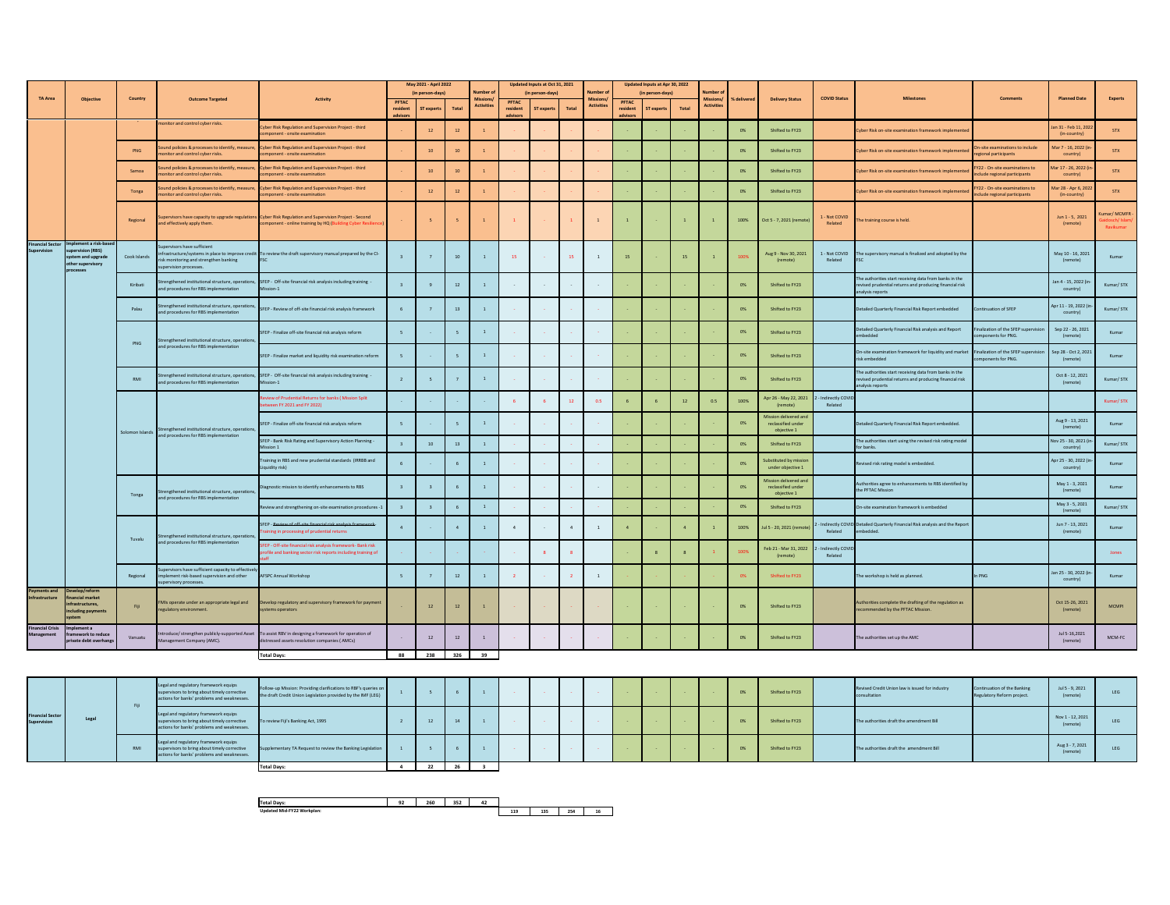|                             |                                                                                          |                 |                                                                                                                   |                                                                                                                                                                     | May 2021 - April 2022<br>(in person-days) |                          |                 | Vumber                        | Updated Inputs at Oct 31, 2021<br>(in person-days) |            |          | lumber                               | Updated Inputs at Apr 30, 2022<br>(in person-days) |                   |       | umber                                |          |                                                            |                             |                                                                                                                                      |                                                                      |                                     |                        |
|-----------------------------|------------------------------------------------------------------------------------------|-----------------|-------------------------------------------------------------------------------------------------------------------|---------------------------------------------------------------------------------------------------------------------------------------------------------------------|-------------------------------------------|--------------------------|-----------------|-------------------------------|----------------------------------------------------|------------|----------|--------------------------------------|----------------------------------------------------|-------------------|-------|--------------------------------------|----------|------------------------------------------------------------|-----------------------------|--------------------------------------------------------------------------------------------------------------------------------------|----------------------------------------------------------------------|-------------------------------------|------------------------|
| TA Area                     | Objectiv                                                                                 | Country         | <b>Outcome Targeted</b>                                                                                           |                                                                                                                                                                     | <b>PETAC</b>                              |                          |                 | Missions<br><b>Activities</b> | PETAC                                              |            |          | <b>Missions</b><br><b>Activities</b> | PETAC                                              |                   |       | <b>Missions</b><br><b>Activities</b> | delivere | <b>Delivery Status</b>                                     | <b>COVID Status</b>         |                                                                                                                                      | Comments                                                             | <b>Planned Date</b>                 | <b>Experts</b>         |
|                             |                                                                                          |                 |                                                                                                                   |                                                                                                                                                                     | resident                                  | ST experts               | Total           |                               | resident                                           | ST experts | Total    |                                      | resident                                           | <b>ST</b> experts | Total |                                      |          |                                                            |                             |                                                                                                                                      |                                                                      |                                     |                        |
|                             |                                                                                          |                 | nonitor and control cyber risks.                                                                                  | Cyber Risk Regulation and Supervision Project - third<br>mponent - onsite examination                                                                               |                                           | $12\,$                   | 12              |                               |                                                    |            |          |                                      |                                                    |                   |       |                                      | 0%       | Shifted to FY23                                            |                             | yber Risk on-site examination framework implementer                                                                                  |                                                                      | an 31 - Feb 11, 20<br>(in-country)  | STX                    |
|                             |                                                                                          | PNG             | und policies & processes to identify, measure<br>nitor and control cyber risks.                                   | Cyber Risk Regulation and Supervision Project - third<br>mponent - onsite examination                                                                               |                                           | 10                       | 10              |                               |                                                    |            |          |                                      |                                                    |                   |       |                                      | 0%       | Shifted to FY23                                            |                             | Cyber Risk on-site examination framework implemente                                                                                  | In-site examinations to include<br>egional participants              | Mar 7 - 16, 2022 (i<br>country)     | <b>STX</b>             |
|                             |                                                                                          | Samoa           | und policies & processes to identify, measure<br>onitor and control cyber risks.                                  | Cyber Risk Regulation and Supervision Project - third<br>mponent - onsite examination                                                                               |                                           | 10                       | 10              |                               |                                                    |            |          |                                      |                                                    |                   |       |                                      | 0%       | Shifted to FY23                                            |                             | yber Risk on-site examination framework implemente                                                                                   | Y22 - On-site examinations to<br>clude regional participants         | far 17 - 26, 2022 (i<br>country)    | <b>STX</b>             |
|                             |                                                                                          | Tonga           | und policies & processes to identify, measure<br>nitor and control cyber risks.                                   | Cyber Risk Regulation and Supervision Project - third<br>mponent - onsite examination                                                                               |                                           | 12                       | 12              |                               |                                                    |            |          |                                      |                                                    |                   |       |                                      | 0%       | Shifted to FY23                                            |                             | lyber Risk on-site examination framework implementer                                                                                 | <b>FY22 - On-site examinations to</b><br>clude regional participants | Mar 28 - Apr 6, 207<br>(in-country) | <b>STX</b>             |
|                             |                                                                                          | Regional        | d effectively apply them.                                                                                         | pervisors have capacity to upgrade regulations Cyber Risk Regulation and Supervision Project - Second<br>component - online training by HQ (Building Cyber Resilier |                                           | $\overline{\phantom{a}}$ |                 |                               |                                                    |            |          | $\overline{1}$                       | $\mathbf{1}$                                       |                   |       | $\mathbf{1}$                         | 100%     | Oct 5 - 7, 2021 (remote                                    | 1 - Not COVID<br>Related    | he training course is held.                                                                                                          |                                                                      | Jun 1 - 5, 2021<br>(remote)         | nar/MCMFR<br>Ravikumar |
| inancial Sect               | plement a risk-ba<br>(PAR) noisius<br>ystem and upgrade<br>other supervisory<br>rocesses | Cook Islands    | pervisors have sufficient<br>sk monitoring and strengthen banking<br>upervision processes.                        | frastructure/systems in place to improve credit To review the draft supervisory manual prepared by the CI-                                                          |                                           |                          | 10              |                               | 15                                                 |            | 15       | $\overline{1}$                       | 15                                                 |                   | 15    |                                      | 100%     | Aug 9 - Nov 30, 2021<br>(remote)                           | 1 - Not COVID<br>Related    | The supervisory manual is finalized and adopted by the                                                                               |                                                                      | May 10 - 16, 2021<br>(remote)       | Kumar                  |
|                             |                                                                                          | Kiribati        | nd procedures for RBS implementation                                                                              | engthened institutional structure, operations, SFEP - Off-site financial risk analysis including training -<br>Mission-1                                            | $\mathbf{R}$                              | $\mathbf{q}$             | 12              | $\mathbf{1}$                  |                                                    |            |          |                                      |                                                    |                   |       |                                      | 0%       | Shifted to FY23                                            |                             | The authorities start receiving data from banks in the<br>revised prudential returns and producing financial risk<br>nalysis reports |                                                                      | lan 4 - 15, 2022 (i<br>country)     | Kumar/ STX             |
|                             |                                                                                          | Palau           | rengthened institutional structure, operation<br>nd procedures for RBS implementation                             | SFEP - Review of off-site financial risk analysis framework                                                                                                         | 6                                         | $\overline{7}$           | $13\,$          |                               |                                                    |            |          |                                      |                                                    |                   |       |                                      | 0%       | Shifted to FY23                                            |                             | Detailed Quarterly Financial Risk Report embedded                                                                                    | Continuation of SFEP                                                 | Apr 11 - 19, 2022 (<br>country)     | Kumar/STX              |
|                             |                                                                                          | <b>PNG</b>      | trengthened institutional structure, operation<br>nd procedures for RBS implementation                            | SFEP - Finalize off-site financial risk analysis reform                                                                                                             | 5                                         |                          |                 |                               |                                                    |            |          |                                      |                                                    |                   |       |                                      | 0%       | Shifted to FY23                                            |                             | Detailed Quarterly Financial Risk analysis and Report<br>hebbedo                                                                     | nalization of the SFEP supervisio<br>nponents for PNG.               | Sep 22 - 26, 2021<br>(remote)       | Kumar                  |
|                             |                                                                                          |                 |                                                                                                                   | SFEP - Finalize market and liquidity risk examination reform                                                                                                        | 5                                         |                          |                 |                               |                                                    |            |          |                                      |                                                    |                   |       |                                      | 0%       | Shifted to FY23                                            |                             | On-site examination framework for liquidity and market<br>isk emhedded                                                               | inalization of the SFEP supervisio<br>mponents for PNG.              | Sep 28 - Oct 2, 2021<br>(remote)    | Kumar                  |
|                             |                                                                                          | RMI             | nd procedures for RBS implementation                                                                              | rengthened institutional structure, operations, SFEP - Off-site financial risk analysis including training -<br>Mission-1                                           | 2                                         | $\overline{\phantom{a}}$ |                 |                               |                                                    |            |          |                                      |                                                    |                   |       |                                      | 0%       | Shifted to FY23                                            |                             | The authorities start receiving data from banks in the<br>revised prudential returns and producing financial risk<br>nalysis reports |                                                                      | Oct 8 - 12, 2021<br>(remote)        | Kumar/STX              |
|                             |                                                                                          |                 |                                                                                                                   | riew of Prudential Returns for banks (Mission Split<br>veen FY 2021 and FY 2022)                                                                                    |                                           |                          |                 |                               |                                                    |            | $12$     | 0.5                                  | $6\phantom{1}6$                                    | 6 <sup>5</sup>    | 12    | 0.5                                  | 100%     | Apr 26 - May 22, 2021<br>(remote)                          | - Indirectly COV<br>Related |                                                                                                                                      |                                                                      |                                     | Kumar/STX              |
|                             |                                                                                          | solomon Islands | Strengthened institutional structure, operations<br>ind procedures for RBS implementat                            | SFEP - Finalize off-site financial risk analysis reform                                                                                                             | $\mathcal{L}$                             |                          |                 | $\overline{1}$                |                                                    |            |          |                                      |                                                    |                   |       |                                      | 0%       | lission delivered and<br>reclassified under<br>objective 1 |                             | Detailed Quarterly Financial Risk Report embedded.                                                                                   |                                                                      | Aug 9 - 13, 2021<br>(remote)        | Kumar                  |
|                             |                                                                                          |                 |                                                                                                                   | SFEP - Bank Risk Rating and Supervisory Action Planning -<br>ission 1                                                                                               | $\overline{a}$                            | $10-10$                  | 13              | $\mathbf{1}$                  |                                                    |            |          |                                      |                                                    |                   |       |                                      | 0%       | Shifted to FY23                                            |                             | The authorities start using the revised risk rating model<br>or banks                                                                |                                                                      | Nov 25 - 30, 2021 (<br>country)     | Kumar/ STX             |
|                             |                                                                                          |                 |                                                                                                                   | raining in RBS and new prudential standards (IRRBB and<br>iquidity risk)                                                                                            | 6                                         |                          |                 | $\mathbf{1}$                  |                                                    |            |          |                                      |                                                    |                   |       |                                      | 0%       | ubstituted by missio<br>under objective 1                  |                             | Revised risk rating model is embedded.                                                                                               |                                                                      | Apr 25 - 30, 2022 (i<br>country)    | Kumar                  |
|                             |                                                                                          | Tonga           | trengthened institutional structure, operations<br>d procedures for RBS implementation                            | Diagnostic mission to identify enhancements to RBS                                                                                                                  | $\overline{3}$                            | $\overline{a}$           | -6.             |                               |                                                    |            |          |                                      |                                                    |                   |       |                                      | 0%       | Mission delivered an<br>reclassified under<br>objective 1  |                             | luthorities agree to enhancements to RBS identified by<br>he PFTAC Mission                                                           |                                                                      | May 1 - 3, 2021<br>(remote)         | Kumar                  |
|                             |                                                                                          |                 |                                                                                                                   | Review and strengthening on-site examination procedures -1                                                                                                          | $\overline{3}$                            | $\overline{a}$           |                 | $\overline{1}$                |                                                    |            |          |                                      |                                                    |                   |       |                                      | 0%       | Shifted to FY23                                            |                             | On-site examination framework is embedded                                                                                            |                                                                      | May 3 - 5, 2021<br>(remote)         | Kumar/STX              |
|                             |                                                                                          |                 | rengthened institutional structure, operation:                                                                    | SFEP - Review of off-site financial risk analysis framework<br>raining in processing of prudential returns                                                          | $\overline{4}$                            |                          |                 |                               | $\overline{4}$                                     |            | $\Delta$ | $\overline{1}$                       | $\overline{4}$                                     |                   |       |                                      | 100%     | ul 5 - 20, 2021 (remote                                    | Related                     | - Indirectly COVID Detailed Quarterly Financial Risk analysis and the Report<br>mbedded.                                             |                                                                      | Jun 7 - 13, 2021<br>(remote)        | Kumar                  |
|                             |                                                                                          | Tuvalu          | nd procedures for RBS implementation                                                                              | SFEP - Off-site financial risk analysis framework- Bank risk<br>ofile and banking sector risk reports including training of                                         |                                           |                          |                 |                               |                                                    |            |          |                                      |                                                    | 8                 |       |                                      | 100%     | Feb 21 - Mar 31, 2022<br>(remote)                          | Indirectly COVI<br>Related  |                                                                                                                                      |                                                                      |                                     | Jones                  |
|                             |                                                                                          | Regional        | pervisors have sufficient capacity to effectiv<br>plement risk-based supervision and other<br>ervisory processes. | AFSPC Annual Workshop                                                                                                                                               | 5                                         |                          | 12              |                               |                                                    |            |          | $\,$ 1                               |                                                    |                   |       |                                      |          | Shifted to FY23                                            |                             | he workshop is held as planned.                                                                                                      | PNG                                                                  | lan 25 - 30, 2022 (i)<br>country)   | Kumar                  |
| ments and<br>astructure     | ancial market<br>frastructures,<br>luding payments                                       | Fiji            | MIs operate under an appropriate legal and<br>eulatory environment.                                               | Develop regulatory and supervisory framework for payment<br>wstems operators                                                                                        |                                           | 12                       | 12 <sup>°</sup> |                               |                                                    |            |          |                                      |                                                    |                   |       |                                      | 0%       | Shifted to FY23                                            |                             | uthorities complete the drafting of the regulation as<br>ommended by the PFTAC Mission.                                              |                                                                      | Oct 15-26, 2021<br>(remote)         | <b>MCMPL</b>           |
| inancial Crisis<br>nagement | ement a<br>amework to reduce<br>rivate debt overhand                                     | Vanuatu         | troduce/ strengthen publicly-supported Asset<br>anagement Company (AMC).                                          | To assist RBV in designing a framework for operation of<br>distressed assets resolution companies (AMCs)                                                            |                                           | 12                       | 12              |                               |                                                    |            |          |                                      |                                                    |                   |       |                                      | 0%       | Shifted to FY23                                            |                             | The authorities set up the AMC                                                                                                       |                                                                      | Jul 5-16,2021<br>(remote)           | MCM-FC                 |
|                             |                                                                                          |                 |                                                                                                                   | <b>Total Days:</b>                                                                                                                                                  |                                           | 88 238 326 39            |                 |                               |                                                    |            |          |                                      |                                                    |                   |       |                                      |          |                                                            |                             |                                                                                                                                      |                                                                      |                                     |                        |

|                                        |       | <b>Fill</b> | Legal and regulatory framework equips<br>supervisors to bring about timely corrective<br>actions for banks' problems and weaknesses. | Follow-up Mission: Providing clarifications to RBF's queries on<br>the draft Credit Union Legislation provided by the IMF (LEG) |    |    |  |  |                |  |  | 0% | Shifted to FY23 | Revised Credit Union law is issued for industry<br>consultation | Continuation of the Banking<br>Regulatory Reform project. | Jul 5 - 9, 2021<br>(remote)  | LEG |
|----------------------------------------|-------|-------------|--------------------------------------------------------------------------------------------------------------------------------------|---------------------------------------------------------------------------------------------------------------------------------|----|----|--|--|----------------|--|--|----|-----------------|-----------------------------------------------------------------|-----------------------------------------------------------|------------------------------|-----|
| <b>Financial Sector</b><br>Supervision | Legal |             | Legal and regulatory framework equips<br>supervisors to bring about timely corrective<br>actions for banks' problems and weaknesses. | To review Fiji's Banking Act, 1995                                                                                              |    | 14 |  |  | <b>Service</b> |  |  | 0% | Shifted to FY23 | The authorities draft the amendment Bill                        |                                                           | Nov 1 - 12, 2021<br>(remote) | LEG |
|                                        |       | RMI         | Legal and regulatory framework equips<br>supervisors to bring about timely corrective<br>actions for banks' problems and weaknesses. | Supplementary TA Request to review the Banking Legislation                                                                      |    |    |  |  | <b>Service</b> |  |  | 0% | Shifted to FY23 | The authorities draft the amendment Bill                        |                                                           | Aug 3 - 7, 2021<br>(remote)  | LEG |
|                                        |       |             |                                                                                                                                      | <b>Total Days:</b>                                                                                                              | 22 | 26 |  |  |                |  |  |    |                 |                                                                 |                                                           |                              |     |

| <b>Total Days:</b>         | o.<br>-26 | 260 | 352 | <br>л<br> |     |     |     |     |
|----------------------------|-----------|-----|-----|-----------|-----|-----|-----|-----|
| Updated Mid-FY22 Workplan: |           |     |     |           | 119 | 135 | 254 | -16 |